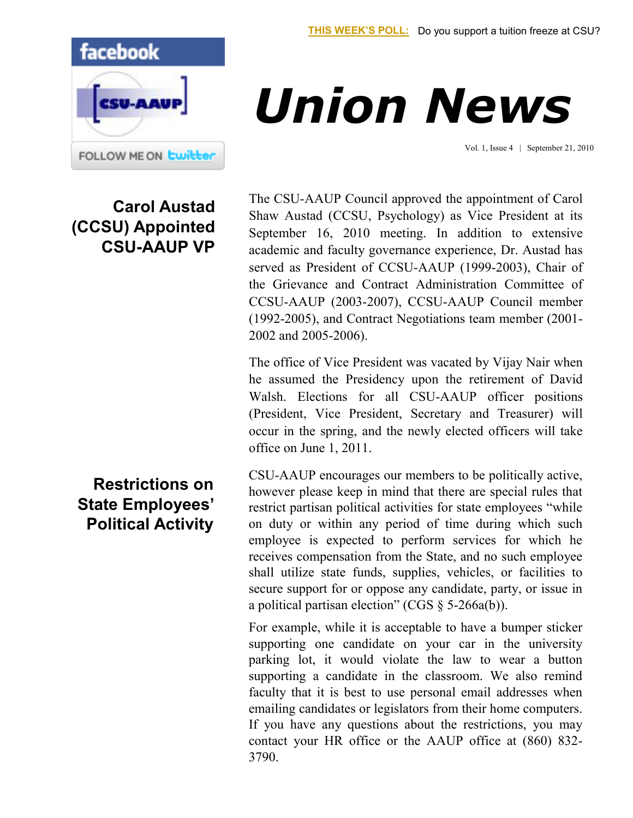Vol. 1, Issue 4 | September 21, 2010



## **Carol Austad (CCSU) Appointed CSU-AAUP VP**

The CSU-AAUP Council approved the appointment of Carol Shaw Austad (CCSU, Psychology) as Vice President at its September 16, 2010 meeting. In addition to extensive academic and faculty governance experience, Dr. Austad has served as President of CCSU-AAUP (1999-2003), Chair of the Grievance and Contract Administration Committee of CCSU-AAUP (2003-2007), CCSU-AAUP Council member (1992-2005), and Contract Negotiations team member (2001- 2002 and 2005-2006).

*Union News*

The office of Vice President was vacated by Vijay Nair when he assumed the Presidency upon the retirement of David Walsh. Elections for all CSU-AAUP officer positions (President, Vice President, Secretary and Treasurer) will occur in the spring, and the newly elected officers will take office on June 1, 2011.

CSU-AAUP encourages our members to be politically active, however please keep in mind that there are special rules that restrict partisan political activities for state employees "while on duty or within any period of time during which such employee is expected to perform services for which he receives compensation from the State, and no such employee shall utilize state funds, supplies, vehicles, or facilities to secure support for or oppose any candidate, party, or issue in a political partisan election" (CGS  $\S$  5-266a(b)).

For example, while it is acceptable to have a bumper sticker supporting one candidate on your car in the university parking lot, it would violate the law to wear a button supporting a candidate in the classroom. We also remind faculty that it is best to use personal email addresses when emailing candidates or legislators from their home computers. If you have any questions about the restrictions, you may contact your HR office or the AAUP office at (860) 832- 3790.

## **Restrictions on State Employees' Political Activity**